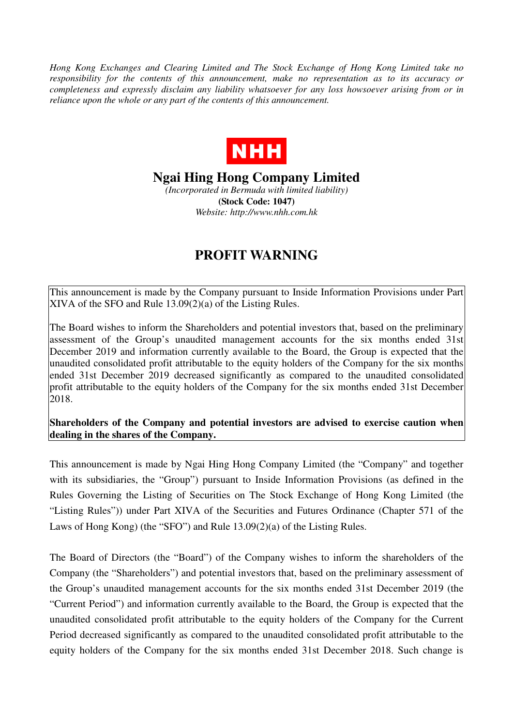*Hong Kong Exchanges and Clearing Limited and The Stock Exchange of Hong Kong Limited take no responsibility for the contents of this announcement, make no representation as to its accuracy or completeness and expressly disclaim any liability whatsoever for any loss howsoever arising from or in reliance upon the whole or any part of the contents of this announcement.* 



**Ngai Hing Hong Company Limited** 

*(Incorporated in Bermuda with limited liability)*  **(Stock Code: 1047)**  *Website: http://www.nhh.com.hk* 

## **PROFIT WARNING**

This announcement is made by the Company pursuant to Inside Information Provisions under Part XIVA of the SFO and Rule 13.09(2)(a) of the Listing Rules.

The Board wishes to inform the Shareholders and potential investors that, based on the preliminary assessment of the Group's unaudited management accounts for the six months ended 31st December 2019 and information currently available to the Board, the Group is expected that the unaudited consolidated profit attributable to the equity holders of the Company for the six months ended 31st December 2019 decreased significantly as compared to the unaudited consolidated profit attributable to the equity holders of the Company for the six months ended 31st December 2018.

**Shareholders of the Company and potential investors are advised to exercise caution when dealing in the shares of the Company.** 

This announcement is made by Ngai Hing Hong Company Limited (the "Company" and together with its subsidiaries, the "Group") pursuant to Inside Information Provisions (as defined in the Rules Governing the Listing of Securities on The Stock Exchange of Hong Kong Limited (the "Listing Rules")) under Part XIVA of the Securities and Futures Ordinance (Chapter 571 of the Laws of Hong Kong) (the "SFO") and Rule 13.09(2)(a) of the Listing Rules.

The Board of Directors (the "Board") of the Company wishes to inform the shareholders of the Company (the "Shareholders") and potential investors that, based on the preliminary assessment of the Group's unaudited management accounts for the six months ended 31st December 2019 (the "Current Period") and information currently available to the Board, the Group is expected that the unaudited consolidated profit attributable to the equity holders of the Company for the Current Period decreased significantly as compared to the unaudited consolidated profit attributable to the equity holders of the Company for the six months ended 31st December 2018. Such change is